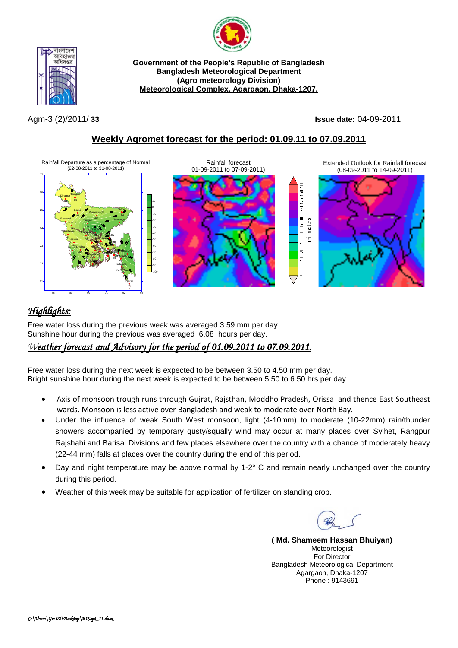



**Government of the People's Republic of Bangladesh Bangladesh Meteorological Department (Agro meteorology Division) Meteorological Complex, Agargaon, Dhaka-1207.**

Agm-3 (2)/2011/ **33 Issue date:** 04-09-2011

## **Weekly Agromet forecast for the period: 01.09.11 to 07.09.2011**



# *Highlights:*

Free water loss during the previous week was averaged 3.59 mm per day. Sunshine hour during the previous was averaged 6.08 hours per day.

### *Weather forecast and Advisory for the period of 01.09.2011 to 07.09.2011.*

Free water loss during the next week is expected to be between 3.50 to 4.50 mm per day. Bright sunshine hour during the next week is expected to be between 5.50 to 6.50 hrs per day.

- Axis of monsoon trough runs through Gujrat, Rajsthan, Moddho Pradesh, Orissa and thence East Southeast wards. Monsoon is less active over Bangladesh and weak to moderate over North Bay.
- Under the influence of weak South West monsoon, light (4-10mm) to moderate (10-22mm) rain/thunder showers accompanied by temporary gusty/squally wind may occur at many places over Sylhet, Rangpur Rajshahi and Barisal Divisions and few places elsewhere over the country with a chance of moderately heavy (22-44 mm) falls at places over the country during the end of this period.
- Day and night temperature may be above normal by 1-2° C and remain nearly unchanged over the country during this period.
- Weather of this week may be suitable for application of fertilizer on standing crop.

**( Md. Shameem Hassan Bhuiyan)** Meteorologist For Director Bangladesh Meteorological Department Agargaon, Dhaka-1207 Phone : 9143691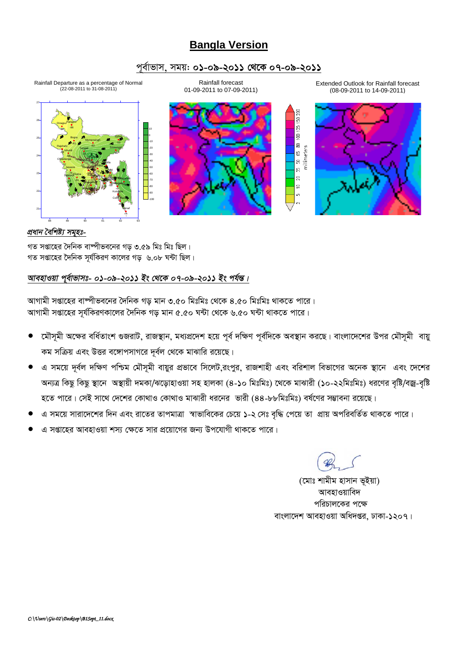# **Bangla Version**

### পূর্বাভাস, সময়: ০১-০৯-২০১১ থেকে ০৭-০৯-২০১১

Rainfall forecast

01-09-2011 to 07-09-2011)







Extended Outlook for Rainfall forecast (08-09-2011 to 14-09-2011)

20O ë  $125$ g  $\Xi$ 

g, ន g  $\overline{2}$  $\equiv$ in.



### প্ৰধান বৈশিষ্ট্য সমূহঃ-

গত সপ্তাহের দৈনিক বাষ্পীভবনের গড় ৩.৫৯ মিঃ মিঃ ছিল। গত সপ্তাহের দৈনিক সর্যকিরণ কালের গড় ৬.০৮ ঘন্টা ছিল।

### আবহাওয়া পুর্বাভাসঃ- ০১-০৯-২০১১ ইং থেকে ০৭-০৯-২০১১ ইং পর্যন্ত।

আগামী সপ্তাহের বাষ্পীভবনের দৈনিক গড় মান ৩.৫০ মিঃমিঃ থেকে ৪.৫০ মিঃমিঃ থাকতে পারে। আগামী সপ্তাহের সূর্যকিরণকালের দৈনিক গড় মান ৫.৫০ ঘন্টা থেকে ৬.৫০ ঘন্টা থাকতে পারে।

- মৌসমী অক্ষের বর্ধিতাংশ গুজরাট, রাজস্থান, মধ্যপ্রদেশ হয়ে পূর্ব দক্ষিণ পূর্বদিকে অবস্থান করছে। বাংলাদেশের উপর মৌসমী বায়ু  $\bullet$ কম সক্রিয় এবং উত্তর বঙ্গোপসাগরে দূর্বল থেকে মাঝারি রয়েছে।
- এ সময়ে দূর্বল দক্ষিণ পশ্চিম মৌসূমী বায়ুর প্রভাবে সিলেট,রংপুর, রাজশাহী এবং বরিশাল বিভাগের অনেক স্থানে এবং দেশের অন্যত্র কিছু কিছু স্থানে অস্থায়ী দমকা/ঝড়োহাওয়া সহ হালকা (৪-১০ মিঃমিঃ) থেকে মাঝারী (১০-২২মিঃমিঃ) ধরণের বৃষ্টি/বজ্র-বৃষ্টি হতে পারে। সেই সাথে দেশের কোথাও কোথাও মাঝারী ধরনের ভারী (৪৪-৮৮মিঃমিঃ) বর্ষণের সম্ভাবনা রয়েছে।
- এ সময়ে সারাদেশের দিন এবং রাতের তাপমাত্রা স্বাভাবিকের চেয়ে ১-২ সেঃ বৃদ্ধি পেয়ে তা প্রায় অপরিবর্তিত থাকতে পারে।
- এ সপ্তাহের আবহাওয়া শস্য ক্ষেতে সার প্রয়োগের জন্য উপযোগী থাকতে পারে।

(মোঃ শামীম হাসান ভূইয়া) আবহাওয়াবিদ পরিচালকের পক্ষে বাংলাদেশ আবহাওয়া অধিদপ্তর, ঢাকা-১২০৭।